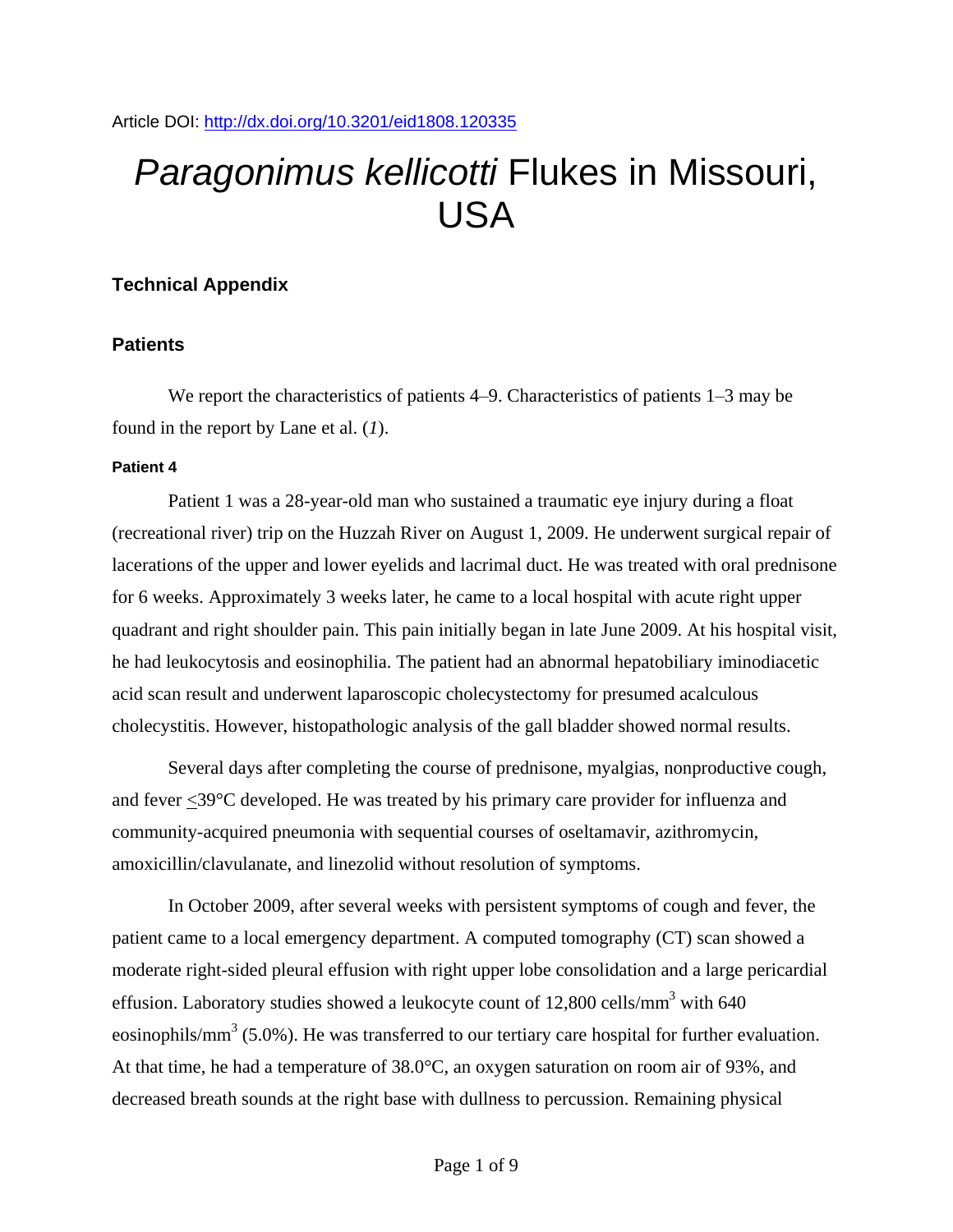# *Paragonimus kellicotti* Flukes in Missouri, USA

# **Technical Appendix**

# **Patients**

We report the characteristics of patients 4–9. Characteristics of patients 1–3 may be found in the report by Lane et al. (*1*).

# **Patient 4**

Patient 1 was a 28-year-old man who sustained a traumatic eye injury during a float (recreational river) trip on the Huzzah River on August 1, 2009. He underwent surgical repair of lacerations of the upper and lower eyelids and lacrimal duct. He was treated with oral prednisone for 6 weeks. Approximately 3 weeks later, he came to a local hospital with acute right upper quadrant and right shoulder pain. This pain initially began in late June 2009. At his hospital visit, he had leukocytosis and eosinophilia. The patient had an abnormal hepatobiliary iminodiacetic acid scan result and underwent laparoscopic cholecystectomy for presumed acalculous cholecystitis. However, histopathologic analysis of the gall bladder showed normal results.

Several days after completing the course of prednisone, myalgias, nonproductive cough, and fever <39°C developed. He was treated by his primary care provider for influenza and community-acquired pneumonia with sequential courses of oseltamavir, azithromycin, amoxicillin/clavulanate, and linezolid without resolution of symptoms.

In October 2009, after several weeks with persistent symptoms of cough and fever, the patient came to a local emergency department. A computed tomography (CT) scan showed a moderate right-sided pleural effusion with right upper lobe consolidation and a large pericardial effusion. Laboratory studies showed a leukocyte count of  $12,800$  cells/mm<sup>3</sup> with 640 eosinophils/mm<sup>3</sup> (5.0%). He was transferred to our tertiary care hospital for further evaluation. At that time, he had a temperature of 38.0°C, an oxygen saturation on room air of 93%, and decreased breath sounds at the right base with dullness to percussion. Remaining physical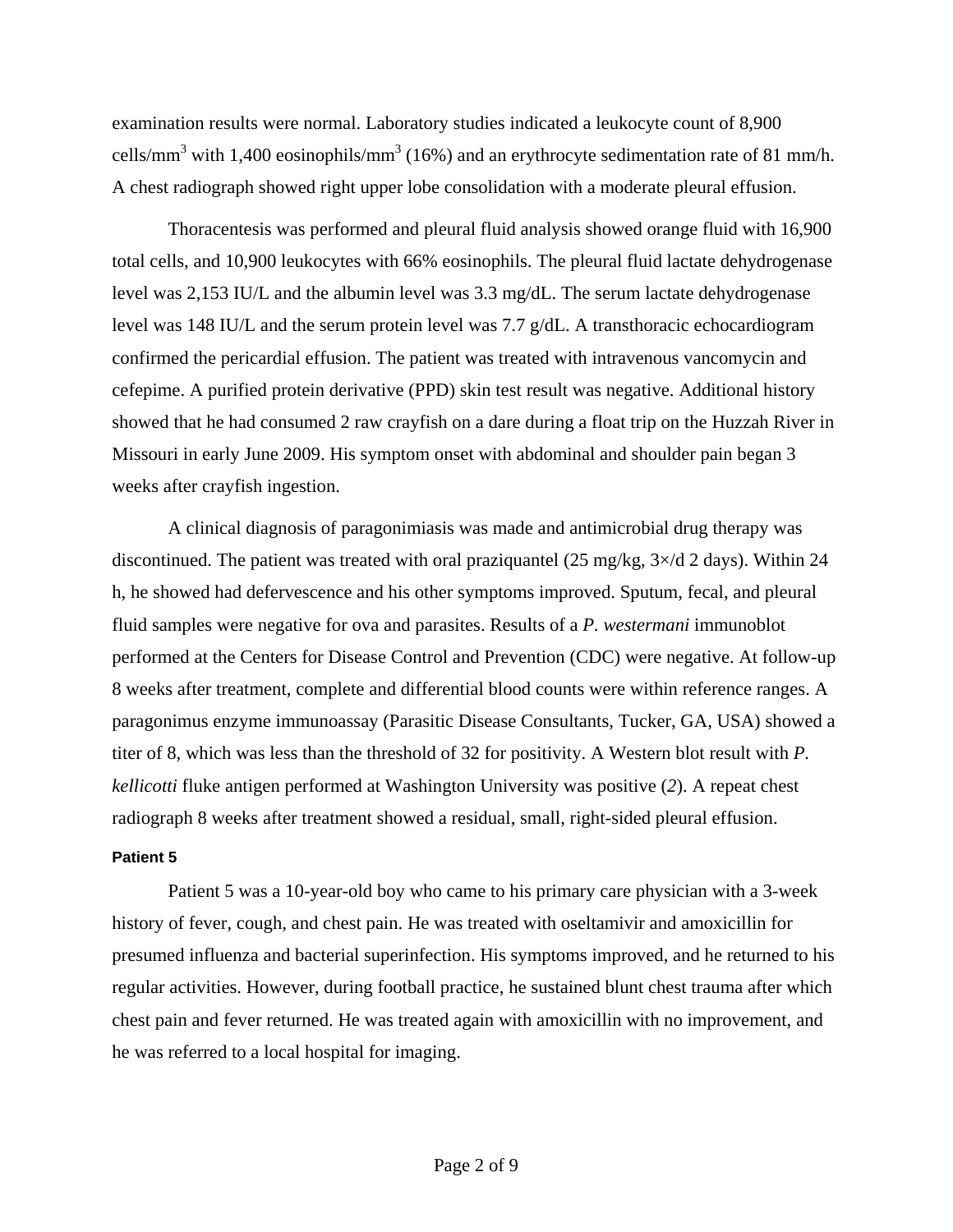examination results were normal. Laboratory studies indicated a leukocyte count of 8,900 cells/mm<sup>3</sup> with 1,400 eosinophils/mm<sup>3</sup> (16%) and an erythrocyte sedimentation rate of 81 mm/h. A chest radiograph showed right upper lobe consolidation with a moderate pleural effusion.

Thoracentesis was performed and pleural fluid analysis showed orange fluid with 16,900 total cells, and 10,900 leukocytes with 66% eosinophils. The pleural fluid lactate dehydrogenase level was 2,153 IU/L and the albumin level was 3.3 mg/dL. The serum lactate dehydrogenase level was 148 IU/L and the serum protein level was 7.7 g/dL. A transthoracic echocardiogram confirmed the pericardial effusion. The patient was treated with intravenous vancomycin and cefepime. A purified protein derivative (PPD) skin test result was negative. Additional history showed that he had consumed 2 raw crayfish on a dare during a float trip on the Huzzah River in Missouri in early June 2009. His symptom onset with abdominal and shoulder pain began 3 weeks after crayfish ingestion.

A clinical diagnosis of paragonimiasis was made and antimicrobial drug therapy was discontinued. The patient was treated with oral praziquantel (25 mg/kg,  $3\times$ /d 2 days). Within 24 h, he showed had defervescence and his other symptoms improved. Sputum, fecal, and pleural fluid samples were negative for ova and parasites. Results of a *P. westermani* immunoblot performed at the Centers for Disease Control and Prevention (CDC) were negative. At follow-up 8 weeks after treatment, complete and differential blood counts were within reference ranges. A paragonimus enzyme immunoassay (Parasitic Disease Consultants, Tucker, GA, USA) showed a titer of 8, which was less than the threshold of 32 for positivity. A Western blot result with *P. kellicotti* fluke antigen performed at Washington University was positive (*2*). A repeat chest radiograph 8 weeks after treatment showed a residual, small, right-sided pleural effusion.

#### **Patient 5**

Patient 5 was a 10-year-old boy who came to his primary care physician with a 3-week history of fever, cough, and chest pain. He was treated with oseltamivir and amoxicillin for presumed influenza and bacterial superinfection. His symptoms improved, and he returned to his regular activities. However, during football practice, he sustained blunt chest trauma after which chest pain and fever returned. He was treated again with amoxicillin with no improvement, and he was referred to a local hospital for imaging.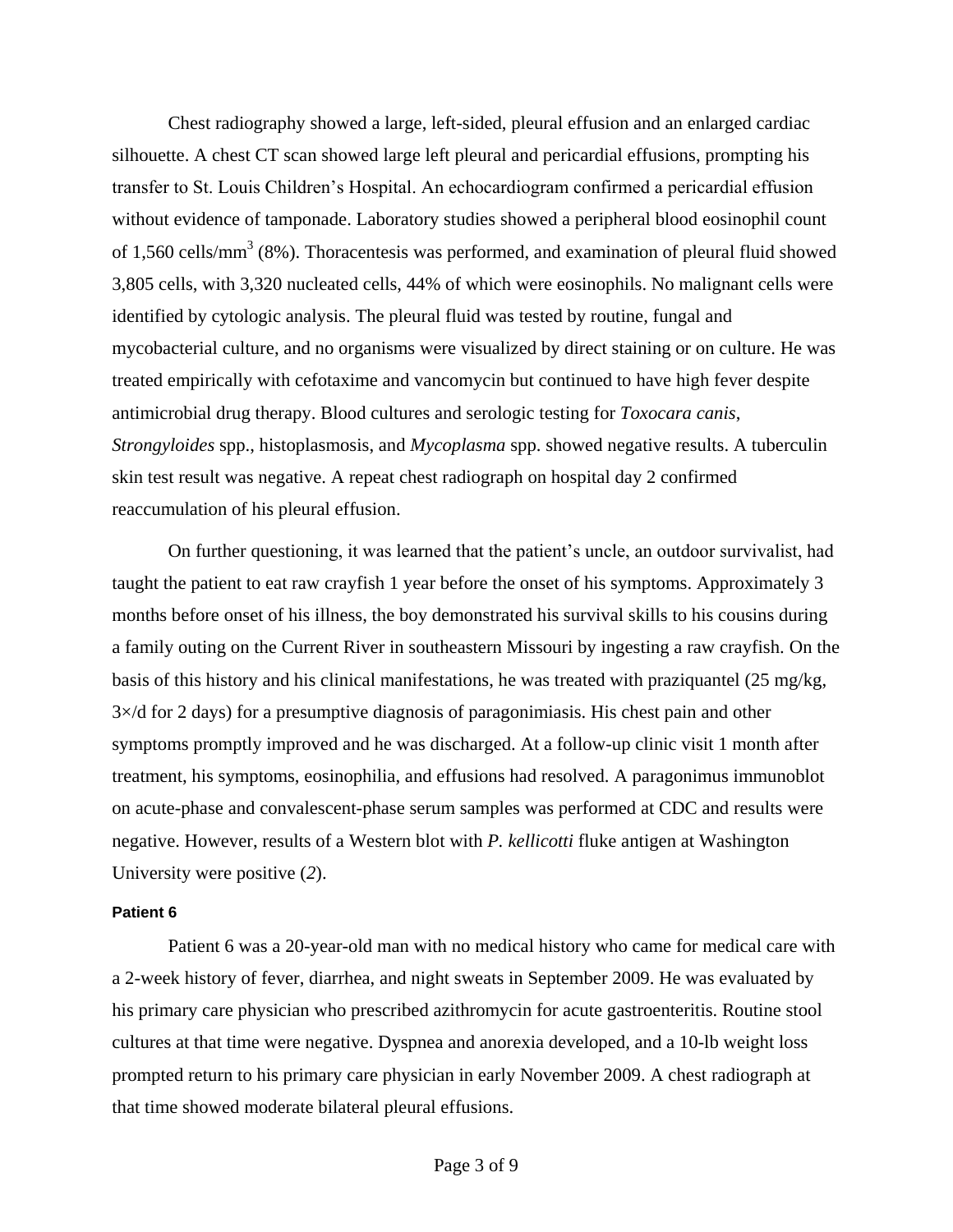Chest radiography showed a large, left-sided, pleural effusion and an enlarged cardiac silhouette. A chest CT scan showed large left pleural and pericardial effusions, prompting his transfer to St. Louis Children's Hospital. An echocardiogram confirmed a pericardial effusion without evidence of tamponade. Laboratory studies showed a peripheral blood eosinophil count of 1,560 cells/mm<sup>3</sup> (8%). Thoracentesis was performed, and examination of pleural fluid showed 3,805 cells, with 3,320 nucleated cells, 44% of which were eosinophils. No malignant cells were identified by cytologic analysis. The pleural fluid was tested by routine, fungal and mycobacterial culture, and no organisms were visualized by direct staining or on culture. He was treated empirically with cefotaxime and vancomycin but continued to have high fever despite antimicrobial drug therapy. Blood cultures and serologic testing for *Toxocara canis*, *Strongyloides* spp., histoplasmosis, and *Mycoplasma* spp. showed negative results. A tuberculin skin test result was negative. A repeat chest radiograph on hospital day 2 confirmed reaccumulation of his pleural effusion.

On further questioning, it was learned that the patient's uncle, an outdoor survivalist, had taught the patient to eat raw crayfish 1 year before the onset of his symptoms. Approximately 3 months before onset of his illness, the boy demonstrated his survival skills to his cousins during a family outing on the Current River in southeastern Missouri by ingesting a raw crayfish. On the basis of this history and his clinical manifestations, he was treated with praziquantel (25 mg/kg,  $3\times$ /d for 2 days) for a presumptive diagnosis of paragonimiasis. His chest pain and other symptoms promptly improved and he was discharged. At a follow-up clinic visit 1 month after treatment, his symptoms, eosinophilia, and effusions had resolved. A paragonimus immunoblot on acute-phase and convalescent-phase serum samples was performed at CDC and results were negative. However, results of a Western blot with *P. kellicotti* fluke antigen at Washington University were positive (*2*).

#### **Patient 6**

Patient 6 was a 20-year-old man with no medical history who came for medical care with a 2-week history of fever, diarrhea, and night sweats in September 2009. He was evaluated by his primary care physician who prescribed azithromycin for acute gastroenteritis. Routine stool cultures at that time were negative. Dyspnea and anorexia developed, and a 10-lb weight loss prompted return to his primary care physician in early November 2009. A chest radiograph at that time showed moderate bilateral pleural effusions.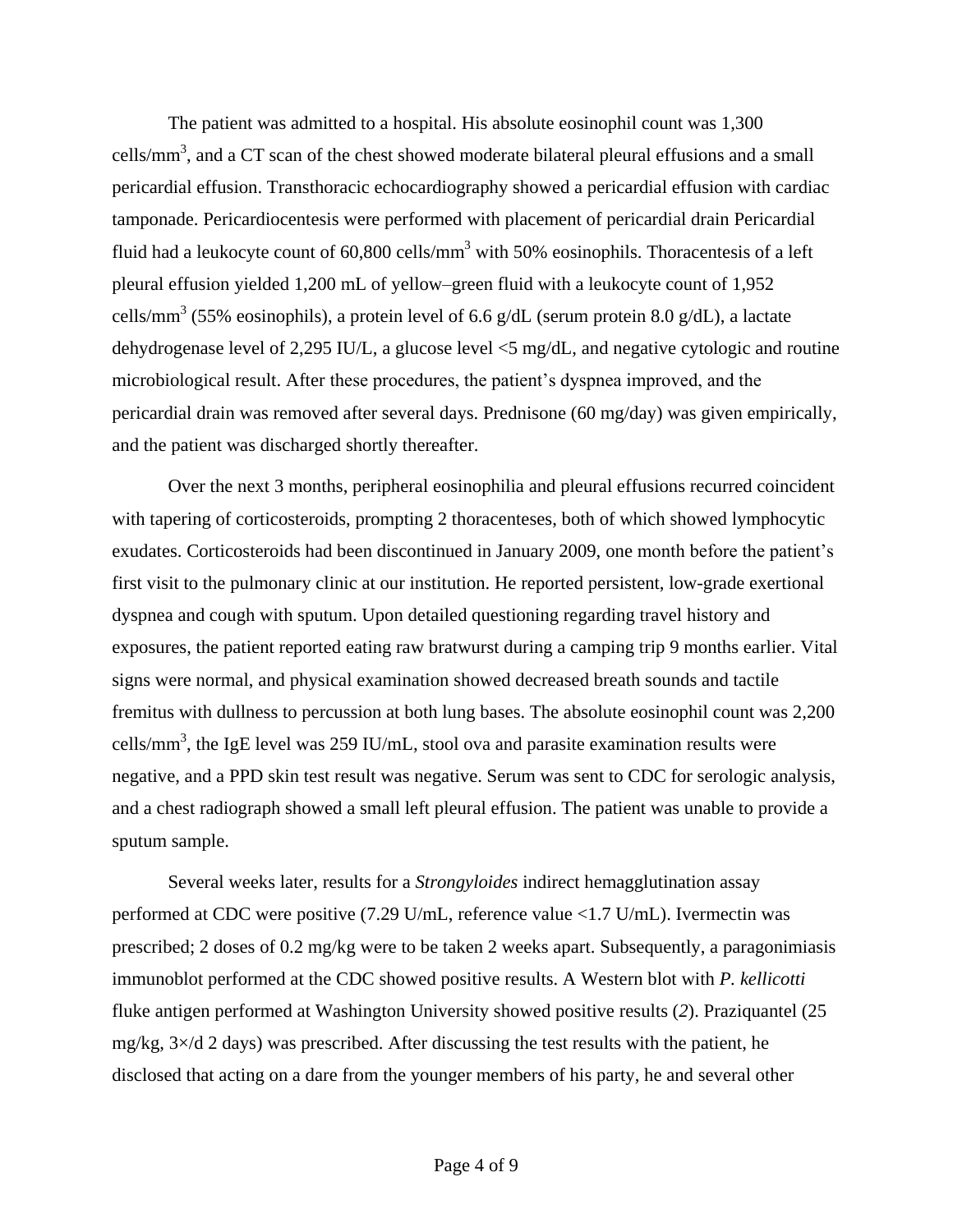The patient was admitted to a hospital. His absolute eosinophil count was 1,300 cells/mm<sup>3</sup>, and a CT scan of the chest showed moderate bilateral pleural effusions and a small pericardial effusion. Transthoracic echocardiography showed a pericardial effusion with cardiac tamponade. Pericardiocentesis were performed with placement of pericardial drain Pericardial fluid had a leukocyte count of  $60,800$  cells/mm<sup>3</sup> with  $50\%$  eosinophils. Thoracentesis of a left pleural effusion yielded 1,200 mL of yellow–green fluid with a leukocyte count of 1,952 cells/mm<sup>3</sup> (55% eosinophils), a protein level of 6.6 g/dL (serum protein 8.0 g/dL), a lactate dehydrogenase level of 2,295 IU/L, a glucose level <5 mg/dL, and negative cytologic and routine microbiological result. After these procedures, the patient's dyspnea improved, and the pericardial drain was removed after several days. Prednisone (60 mg/day) was given empirically, and the patient was discharged shortly thereafter.

Over the next 3 months, peripheral eosinophilia and pleural effusions recurred coincident with tapering of corticosteroids, prompting 2 thoracenteses, both of which showed lymphocytic exudates. Corticosteroids had been discontinued in January 2009, one month before the patient's first visit to the pulmonary clinic at our institution. He reported persistent, low-grade exertional dyspnea and cough with sputum. Upon detailed questioning regarding travel history and exposures, the patient reported eating raw bratwurst during a camping trip 9 months earlier. Vital signs were normal, and physical examination showed decreased breath sounds and tactile fremitus with dullness to percussion at both lung bases. The absolute eosinophil count was 2,200 cells/mm<sup>3</sup>, the IgE level was 259 IU/mL, stool ova and parasite examination results were negative, and a PPD skin test result was negative. Serum was sent to CDC for serologic analysis, and a chest radiograph showed a small left pleural effusion. The patient was unable to provide a sputum sample.

Several weeks later, results for a *Strongyloides* indirect hemagglutination assay performed at CDC were positive (7.29 U/mL, reference value <1.7 U/mL). Ivermectin was prescribed; 2 doses of 0.2 mg/kg were to be taken 2 weeks apart. Subsequently, a paragonimiasis immunoblot performed at the CDC showed positive results. A Western blot with *P. kellicotti* fluke antigen performed at Washington University showed positive results (*2*). Praziquantel (25 mg/kg, 3×/d 2 days) was prescribed. After discussing the test results with the patient, he disclosed that acting on a dare from the younger members of his party, he and several other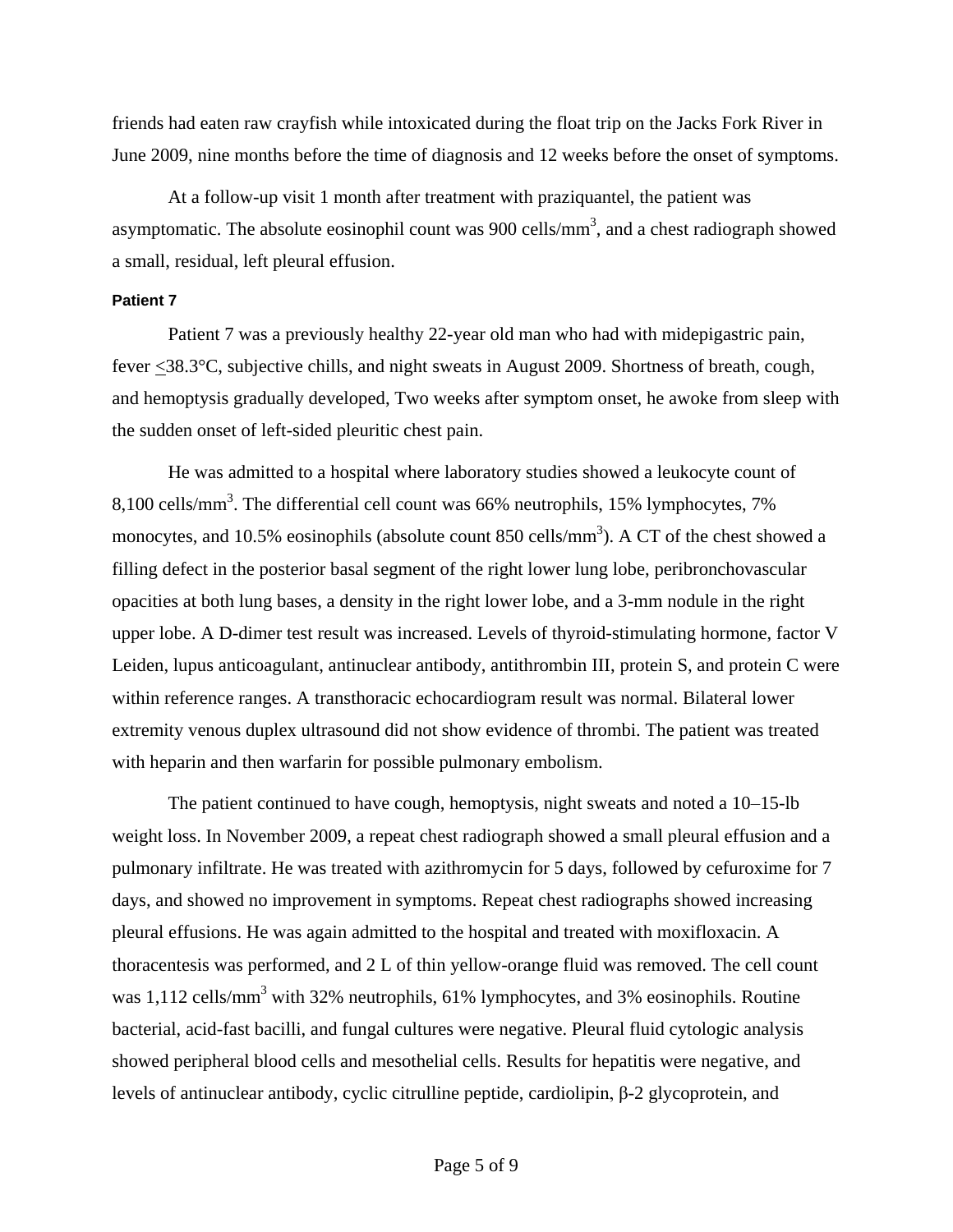friends had eaten raw crayfish while intoxicated during the float trip on the Jacks Fork River in June 2009, nine months before the time of diagnosis and 12 weeks before the onset of symptoms.

At a follow-up visit 1 month after treatment with praziquantel, the patient was asymptomatic. The absolute eosinophil count was 900 cells/mm<sup>3</sup>, and a chest radiograph showed a small, residual, left pleural effusion.

## **Patient 7**

Patient 7 was a previously healthy 22-year old man who had with midepigastric pain, fever <38.3°C, subjective chills, and night sweats in August 2009. Shortness of breath, cough, and hemoptysis gradually developed, Two weeks after symptom onset, he awoke from sleep with the sudden onset of left-sided pleuritic chest pain.

He was admitted to a hospital where laboratory studies showed a leukocyte count of 8,100 cells/mm<sup>3</sup>. The differential cell count was 66% neutrophils, 15% lymphocytes, 7% monocytes, and 10.5% eosinophils (absolute count 850 cells/mm<sup>3</sup>). A CT of the chest showed a filling defect in the posterior basal segment of the right lower lung lobe, peribronchovascular opacities at both lung bases, a density in the right lower lobe, and a 3-mm nodule in the right upper lobe. A D-dimer test result was increased. Levels of thyroid-stimulating hormone, factor V Leiden, lupus anticoagulant, antinuclear antibody, antithrombin III, protein S, and protein C were within reference ranges. A transthoracic echocardiogram result was normal. Bilateral lower extremity venous duplex ultrasound did not show evidence of thrombi. The patient was treated with heparin and then warfarin for possible pulmonary embolism.

The patient continued to have cough, hemoptysis, night sweats and noted a 10–15-lb weight loss. In November 2009, a repeat chest radiograph showed a small pleural effusion and a pulmonary infiltrate. He was treated with azithromycin for 5 days, followed by cefuroxime for 7 days, and showed no improvement in symptoms. Repeat chest radiographs showed increasing pleural effusions. He was again admitted to the hospital and treated with moxifloxacin. A thoracentesis was performed, and 2 L of thin yellow-orange fluid was removed. The cell count was 1,112 cells/mm<sup>3</sup> with 32% neutrophils, 61% lymphocytes, and 3% eosinophils. Routine bacterial, acid-fast bacilli, and fungal cultures were negative. Pleural fluid cytologic analysis showed peripheral blood cells and mesothelial cells. Results for hepatitis were negative, and levels of antinuclear antibody, cyclic citrulline peptide, cardiolipin, β-2 glycoprotein, and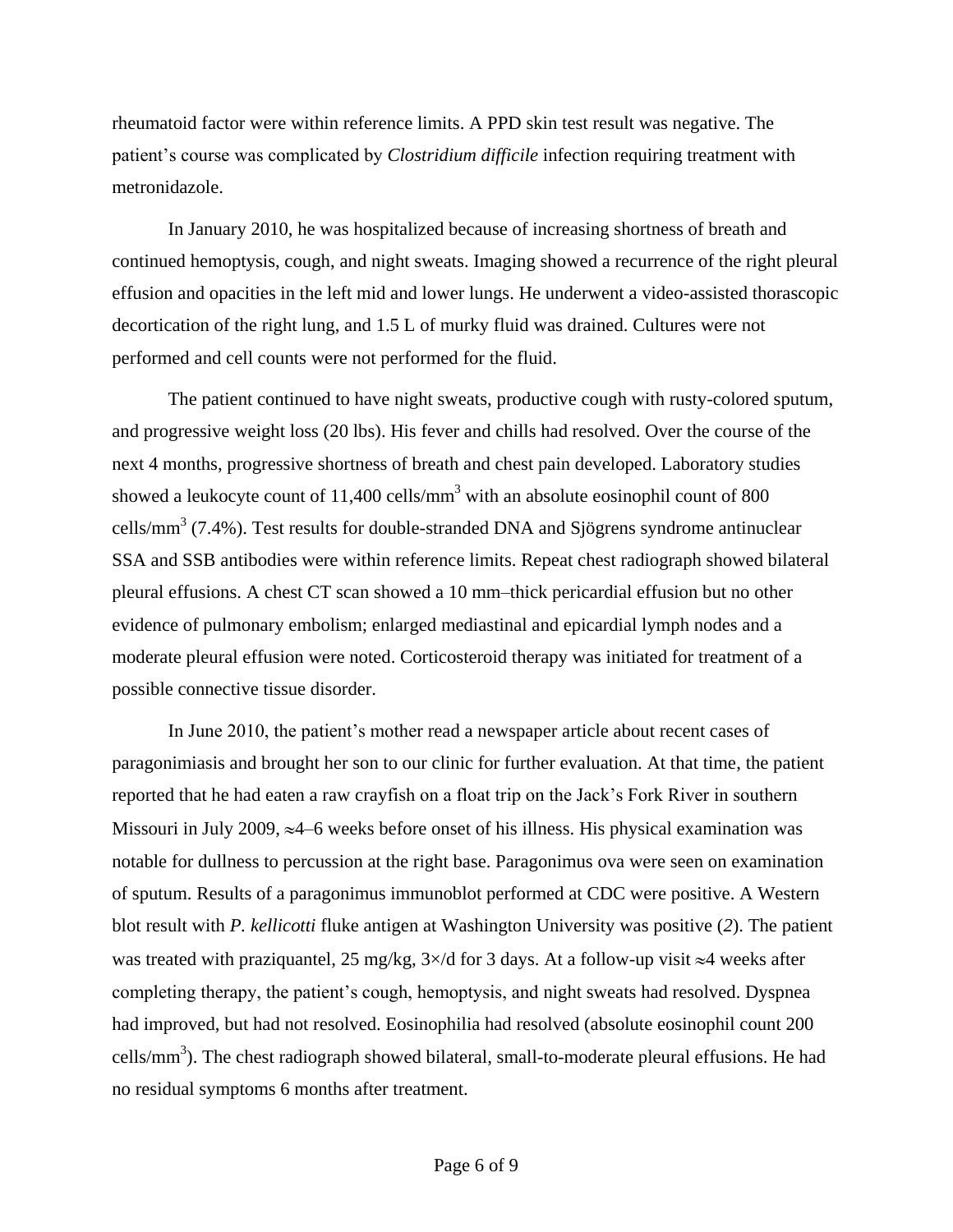rheumatoid factor were within reference limits. A PPD skin test result was negative. The patient's course was complicated by *Clostridium difficile* infection requiring treatment with metronidazole.

In January 2010, he was hospitalized because of increasing shortness of breath and continued hemoptysis, cough, and night sweats. Imaging showed a recurrence of the right pleural effusion and opacities in the left mid and lower lungs. He underwent a video-assisted thorascopic decortication of the right lung, and 1.5 L of murky fluid was drained. Cultures were not performed and cell counts were not performed for the fluid.

The patient continued to have night sweats, productive cough with rusty-colored sputum, and progressive weight loss (20 lbs). His fever and chills had resolved. Over the course of the next 4 months, progressive shortness of breath and chest pain developed. Laboratory studies showed a leukocyte count of  $11,400$  cells/mm<sup>3</sup> with an absolute eosinophil count of 800 cells/mm<sup>3</sup> (7.4%). Test results for double-stranded DNA and Sjögrens syndrome antinuclear SSA and SSB antibodies were within reference limits. Repeat chest radiograph showed bilateral pleural effusions. A chest CT scan showed a 10 mm–thick pericardial effusion but no other evidence of pulmonary embolism; enlarged mediastinal and epicardial lymph nodes and a moderate pleural effusion were noted. Corticosteroid therapy was initiated for treatment of a possible connective tissue disorder.

In June 2010, the patient's mother read a newspaper article about recent cases of paragonimiasis and brought her son to our clinic for further evaluation. At that time, the patient reported that he had eaten a raw crayfish on a float trip on the Jack's Fork River in southern Missouri in July 2009,  $\approx$ 4–6 weeks before onset of his illness. His physical examination was notable for dullness to percussion at the right base. Paragonimus ova were seen on examination of sputum. Results of a paragonimus immunoblot performed at CDC were positive. A Western blot result with *P. kellicotti* fluke antigen at Washington University was positive (*2*). The patient was treated with praziquantel, 25 mg/kg,  $3 \times d$  for 3 days. At a follow-up visit  $\approx 4$  weeks after completing therapy, the patient's cough, hemoptysis, and night sweats had resolved. Dyspnea had improved, but had not resolved. Eosinophilia had resolved (absolute eosinophil count 200 cells/mm<sup>3</sup>). The chest radiograph showed bilateral, small-to-moderate pleural effusions. He had no residual symptoms 6 months after treatment.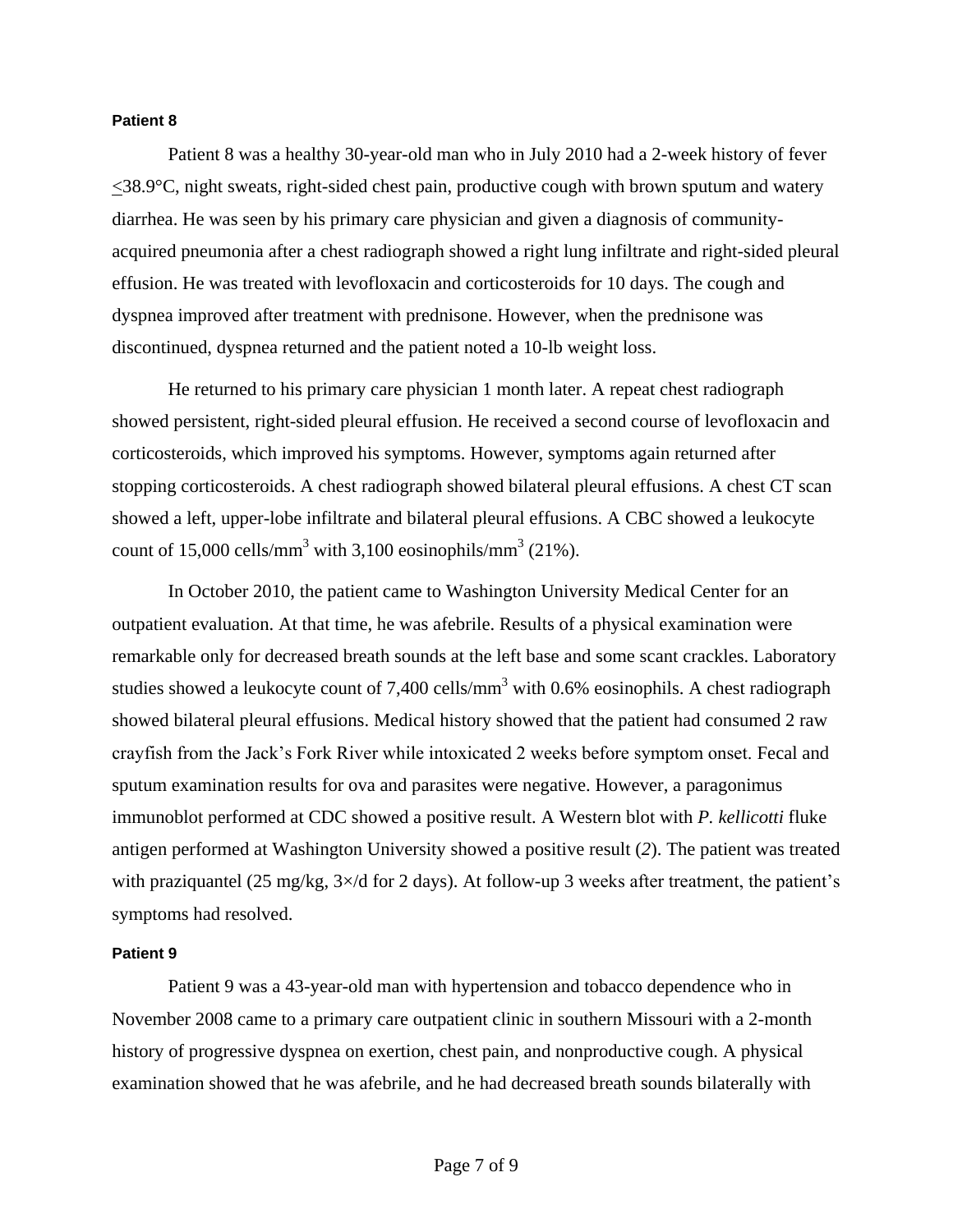## **Patient 8**

Patient 8 was a healthy 30-year-old man who in July 2010 had a 2-week history of fever  $\leq$ 38.9 $\degree$ C, night sweats, right-sided chest pain, productive cough with brown sputum and watery diarrhea. He was seen by his primary care physician and given a diagnosis of communityacquired pneumonia after a chest radiograph showed a right lung infiltrate and right-sided pleural effusion. He was treated with levofloxacin and corticosteroids for 10 days. The cough and dyspnea improved after treatment with prednisone. However, when the prednisone was discontinued, dyspnea returned and the patient noted a 10-lb weight loss.

He returned to his primary care physician 1 month later. A repeat chest radiograph showed persistent, right-sided pleural effusion. He received a second course of levofloxacin and corticosteroids, which improved his symptoms. However, symptoms again returned after stopping corticosteroids. A chest radiograph showed bilateral pleural effusions. A chest CT scan showed a left, upper-lobe infiltrate and bilateral pleural effusions. A CBC showed a leukocyte count of 15,000 cells/mm<sup>3</sup> with 3,100 eosinophils/mm<sup>3</sup> (21%).

In October 2010, the patient came to Washington University Medical Center for an outpatient evaluation. At that time, he was afebrile. Results of a physical examination were remarkable only for decreased breath sounds at the left base and some scant crackles. Laboratory studies showed a leukocyte count of 7,400 cells/mm<sup>3</sup> with 0.6% eosinophils. A chest radiograph showed bilateral pleural effusions. Medical history showed that the patient had consumed 2 raw crayfish from the Jack's Fork River while intoxicated 2 weeks before symptom onset. Fecal and sputum examination results for ova and parasites were negative. However, a paragonimus immunoblot performed at CDC showed a positive result. A Western blot with *P. kellicotti* fluke antigen performed at Washington University showed a positive result (*2*). The patient was treated with praziquantel (25 mg/kg,  $3 \times$ /d for 2 days). At follow-up 3 weeks after treatment, the patient's symptoms had resolved.

### **Patient 9**

Patient 9 was a 43-year-old man with hypertension and tobacco dependence who in November 2008 came to a primary care outpatient clinic in southern Missouri with a 2-month history of progressive dyspnea on exertion, chest pain, and nonproductive cough. A physical examination showed that he was afebrile, and he had decreased breath sounds bilaterally with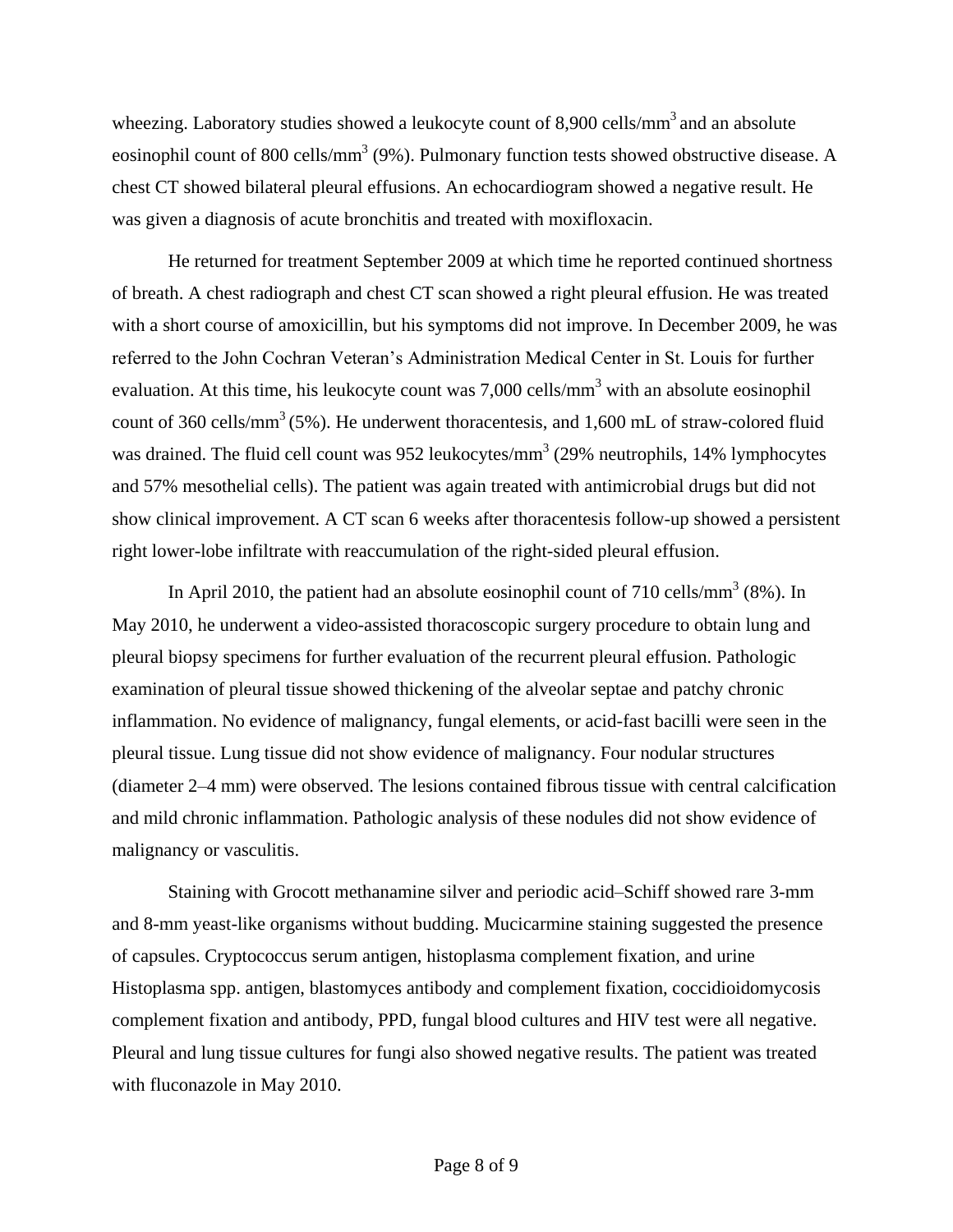wheezing. Laboratory studies showed a leukocyte count of  $8,900$  cells/mm<sup>3</sup> and an absolute eosinophil count of 800 cells/mm<sup>3</sup> (9%). Pulmonary function tests showed obstructive disease. A chest CT showed bilateral pleural effusions. An echocardiogram showed a negative result. He was given a diagnosis of acute bronchitis and treated with moxifloxacin.

He returned for treatment September 2009 at which time he reported continued shortness of breath. A chest radiograph and chest CT scan showed a right pleural effusion. He was treated with a short course of amoxicillin, but his symptoms did not improve. In December 2009, he was referred to the John Cochran Veteran's Administration Medical Center in St. Louis for further evaluation. At this time, his leukocyte count was  $7,000$  cells/mm<sup>3</sup> with an absolute eosinophil count of 360 cells/mm<sup>3</sup> (5%). He underwent thoracentesis, and 1,600 mL of straw-colored fluid was drained. The fluid cell count was 952 leukocytes/mm<sup>3</sup> (29% neutrophils, 14% lymphocytes and 57% mesothelial cells). The patient was again treated with antimicrobial drugs but did not show clinical improvement. A CT scan 6 weeks after thoracentesis follow-up showed a persistent right lower-lobe infiltrate with reaccumulation of the right-sided pleural effusion.

In April 2010, the patient had an absolute eosinophil count of 710 cells/mm<sup>3</sup> (8%). In May 2010, he underwent a video-assisted thoracoscopic surgery procedure to obtain lung and pleural biopsy specimens for further evaluation of the recurrent pleural effusion. Pathologic examination of pleural tissue showed thickening of the alveolar septae and patchy chronic inflammation. No evidence of malignancy, fungal elements, or acid-fast bacilli were seen in the pleural tissue. Lung tissue did not show evidence of malignancy. Four nodular structures (diameter 2–4 mm) were observed. The lesions contained fibrous tissue with central calcification and mild chronic inflammation. Pathologic analysis of these nodules did not show evidence of malignancy or vasculitis.

Staining with Grocott methanamine silver and periodic acid–Schiff showed rare 3-mm and 8-mm yeast-like organisms without budding. Mucicarmine staining suggested the presence of capsules. Cryptococcus serum antigen, histoplasma complement fixation, and urine Histoplasma spp. antigen, blastomyces antibody and complement fixation, coccidioidomycosis complement fixation and antibody, PPD, fungal blood cultures and HIV test were all negative. Pleural and lung tissue cultures for fungi also showed negative results. The patient was treated with fluconazole in May 2010.